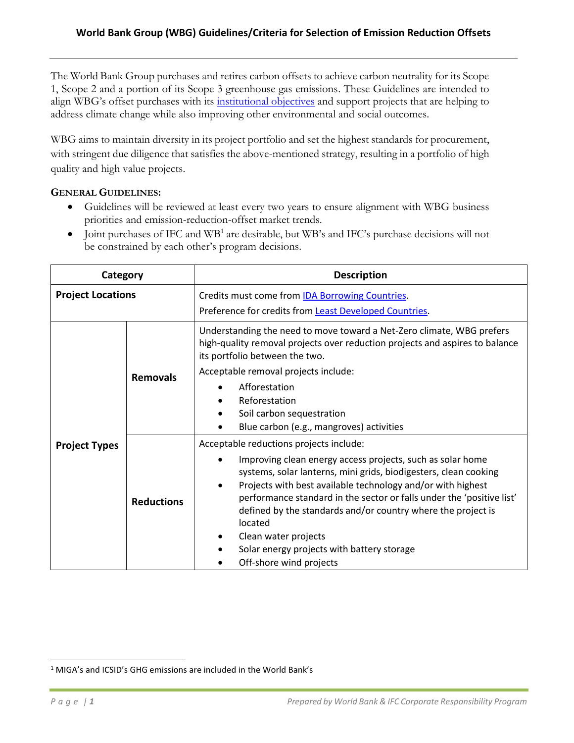The World Bank Group purchases and retires carbon offsets to achieve carbon neutrality for its Scope 1, Scope 2 and a portion of its Scope 3 greenhouse gas emissions. These Guidelines are intended to align WBG's offset purchases with its [institutional objectives](https://www.worldbank.org/en/about/what-we-do/crinfo) and support projects that are helping to address climate change while also improving other environmental and social outcomes.

WBG aims to maintain diversity in its project portfolio and set the highest standards for procurement, with stringent due diligence that satisfies the above-mentioned strategy, resulting in a portfolio of high quality and high value projects.

## **GENERAL GUIDELINES:**

- Guidelines will be reviewed at least every two years to ensure alignment with WBG business priorities and emission-reduction-offset market trends.
- Joint purchases of IFC and WB<sup>1</sup> are desirable, but WB's and IFC's purchase decisions will not be constrained by each other's program decisions.

| Category                 |                   | <b>Description</b>                                                                                                                                                                                                                                                                                                                                                                                                                                                                                              |
|--------------------------|-------------------|-----------------------------------------------------------------------------------------------------------------------------------------------------------------------------------------------------------------------------------------------------------------------------------------------------------------------------------------------------------------------------------------------------------------------------------------------------------------------------------------------------------------|
| <b>Project Locations</b> |                   | Credits must come from <b>IDA Borrowing Countries</b> .<br>Preference for credits from Least Developed Countries.                                                                                                                                                                                                                                                                                                                                                                                               |
| <b>Project Types</b>     | <b>Removals</b>   | Understanding the need to move toward a Net-Zero climate, WBG prefers<br>high-quality removal projects over reduction projects and aspires to balance<br>its portfolio between the two.<br>Acceptable removal projects include:<br>Afforestation<br>Reforestation<br>Soil carbon sequestration<br>$\bullet$<br>Blue carbon (e.g., mangroves) activities                                                                                                                                                         |
|                          | <b>Reductions</b> | Acceptable reductions projects include:<br>Improving clean energy access projects, such as solar home<br>systems, solar lanterns, mini grids, biodigesters, clean cooking<br>Projects with best available technology and/or with highest<br>$\bullet$<br>performance standard in the sector or falls under the 'positive list'<br>defined by the standards and/or country where the project is<br>located<br>Clean water projects<br>٠<br>Solar energy projects with battery storage<br>Off-shore wind projects |

<sup>1</sup> MIGA's and ICSID's GHG emissions are included in the World Bank's